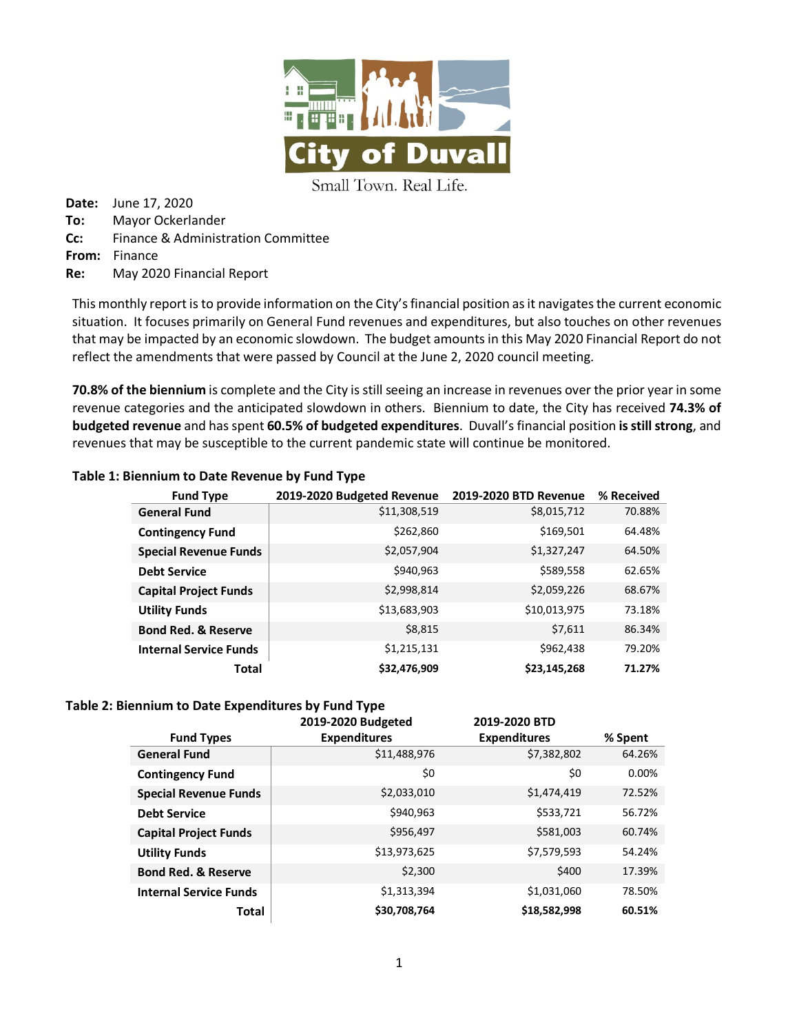

Small Town. Real Life.

**Date:** June 17, 2020 **To:** Mayor Ockerlander **Cc:** Finance & Administration Committee **From:** Finance **Re:** May 2020 Financial Report

This monthly report is to provide information on the City's financial position as it navigates the current economic situation. It focuses primarily on General Fund revenues and expenditures, but also touches on other revenues that may be impacted by an economic slowdown. The budget amounts in this May 2020 Financial Report do not reflect the amendments that were passed by Council at the June 2, 2020 council meeting.

**70.8% of the biennium** is complete and the City is still seeing an increase in revenues over the prior year in some revenue categories and the anticipated slowdown in others. Biennium to date, the City has received **74.3% of budgeted revenue** and has spent **60.5% of budgeted expenditures**. Duvall's financial position **is stillstrong**, and revenues that may be susceptible to the current pandemic state will continue be monitored.

#### **Table 1: Biennium to Date Revenue by Fund Type**

| <b>Fund Type</b>               | 2019-2020 Budgeted Revenue | 2019-2020 BTD Revenue | % Received |
|--------------------------------|----------------------------|-----------------------|------------|
| <b>General Fund</b>            | \$11,308,519               | \$8,015,712           | 70.88%     |
| <b>Contingency Fund</b>        | \$262,860                  | \$169,501             | 64.48%     |
| <b>Special Revenue Funds</b>   | \$2,057,904                | \$1,327,247           | 64.50%     |
| <b>Debt Service</b>            | \$940,963                  | \$589,558             | 62.65%     |
| <b>Capital Project Funds</b>   | \$2,998,814                | \$2,059,226           | 68.67%     |
| <b>Utility Funds</b>           | \$13,683,903               | \$10,013,975          | 73.18%     |
| <b>Bond Red. &amp; Reserve</b> | \$8,815                    | \$7,611               | 86.34%     |
| <b>Internal Service Funds</b>  | \$1,215,131                | \$962,438             | 79.20%     |
| <b>Total</b>                   | \$32,476,909               | \$23,145,268          | 71.27%     |

#### **Table 2: Biennium to Date Expenditures by Fund Type**

|                                | 2019-2020 Budgeted  | 2019-2020 BTD       |         |
|--------------------------------|---------------------|---------------------|---------|
| <b>Fund Types</b>              | <b>Expenditures</b> | <b>Expenditures</b> | % Spent |
| <b>General Fund</b>            | \$11,488,976        | \$7,382,802         | 64.26%  |
| <b>Contingency Fund</b>        | \$0                 | \$0                 | 0.00%   |
| <b>Special Revenue Funds</b>   | \$2,033,010         | \$1,474,419         | 72.52%  |
| <b>Debt Service</b>            | \$940,963           | \$533,721           | 56.72%  |
| <b>Capital Project Funds</b>   | \$956,497           | \$581,003           | 60.74%  |
| <b>Utility Funds</b>           | \$13,973,625        | \$7,579,593         | 54.24%  |
| <b>Bond Red. &amp; Reserve</b> | \$2,300             | \$400               | 17.39%  |
| <b>Internal Service Funds</b>  | \$1,313,394         | \$1,031,060         | 78.50%  |
| <b>Total</b>                   | \$30,708,764        | \$18,582,998        | 60.51%  |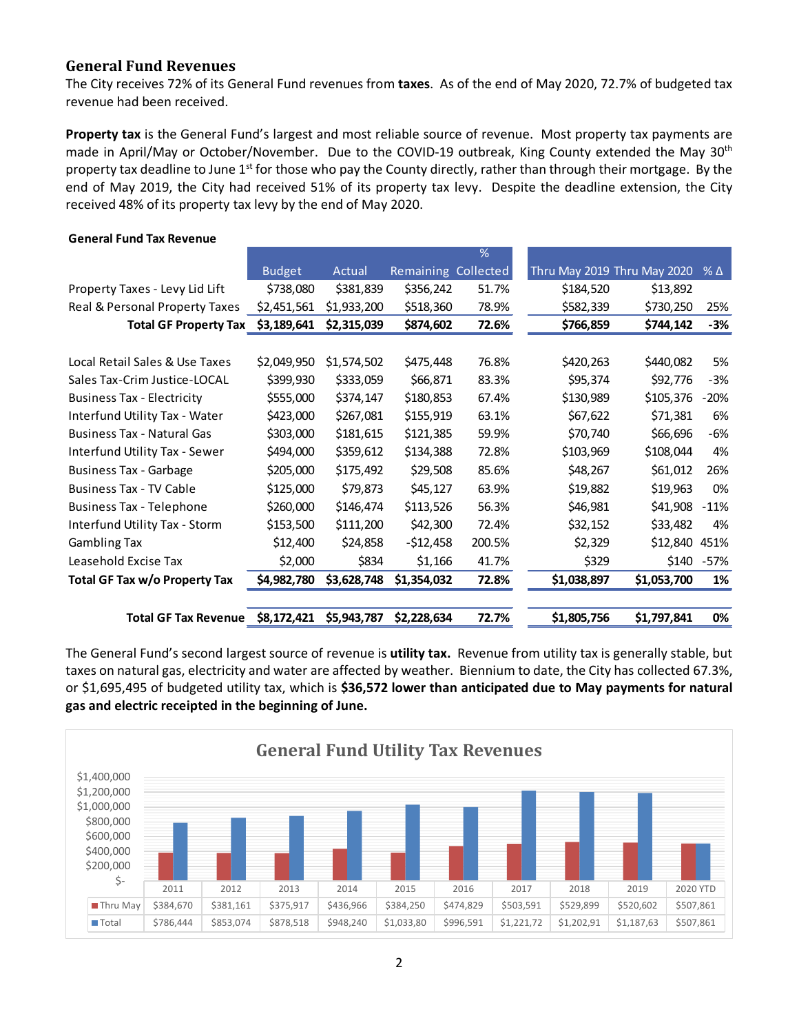#### **General Fund Revenues**

**General Fund Tax Revenue**

The City receives 72% of its General Fund revenues from **taxes**. As of the end of May 2020, 72.7% of budgeted tax revenue had been received.

**Property tax** is the General Fund's largest and most reliable source of revenue. Most property tax payments are made in April/May or October/November. Due to the COVID-19 outbreak, King County extended the May 30<sup>th</sup> property tax deadline to June  $1<sup>st</sup>$  for those who pay the County directly, rather than through their mortgage. By the end of May 2019, the City had received 51% of its property tax levy. Despite the deadline extension, the City received 48% of its property tax levy by the end of May 2020.

|                                   |               |             |                  | $\%$      |                             |             |              |
|-----------------------------------|---------------|-------------|------------------|-----------|-----------------------------|-------------|--------------|
|                                   | <b>Budget</b> | Actual      | <b>Remaining</b> | Collected | Thru May 2019 Thru May 2020 |             | $%$ $\Delta$ |
| Property Taxes - Levy Lid Lift    | \$738,080     | \$381,839   | \$356,242        | 51.7%     | \$184,520                   | \$13,892    |              |
| Real & Personal Property Taxes    | \$2,451,561   | \$1,933,200 | \$518,360        | 78.9%     | \$582,339                   | \$730,250   | 25%          |
| <b>Total GF Property Tax</b>      | \$3,189,641   | \$2,315,039 | \$874,602        | 72.6%     | \$766,859                   | \$744,142   | -3%          |
|                                   |               |             |                  |           |                             |             |              |
| Local Retail Sales & Use Taxes    | \$2,049,950   | \$1,574,502 | \$475,448        | 76.8%     | \$420,263                   | \$440,082   | 5%           |
| Sales Tax-Crim Justice-LOCAL      | \$399,930     | \$333,059   | \$66,871         | 83.3%     | \$95,374                    | \$92,776    | $-3%$        |
| <b>Business Tax - Electricity</b> | \$555,000     | \$374,147   | \$180,853        | 67.4%     | \$130,989                   | \$105,376   | $-20%$       |
| Interfund Utility Tax - Water     | \$423,000     | \$267,081   | \$155,919        | 63.1%     | \$67,622                    | \$71,381    | 6%           |
| <b>Business Tax - Natural Gas</b> | \$303,000     | \$181,615   | \$121,385        | 59.9%     | \$70,740                    | \$66,696    | -6%          |
| Interfund Utility Tax - Sewer     | \$494,000     | \$359,612   | \$134,388        | 72.8%     | \$103,969                   | \$108,044   | 4%           |
| <b>Business Tax - Garbage</b>     | \$205,000     | \$175,492   | \$29,508         | 85.6%     | \$48,267                    | \$61,012    | 26%          |
| <b>Business Tax - TV Cable</b>    | \$125,000     | \$79,873    | \$45,127         | 63.9%     | \$19,882                    | \$19,963    | 0%           |
| <b>Business Tax - Telephone</b>   | \$260,000     | \$146,474   | \$113,526        | 56.3%     | \$46,981                    | \$41,908    | $-11%$       |
| Interfund Utility Tax - Storm     | \$153,500     | \$111,200   | \$42,300         | 72.4%     | \$32,152                    | \$33,482    | 4%           |
| <b>Gambling Tax</b>               | \$12,400      | \$24,858    | -\$12,458        | 200.5%    | \$2,329                     | \$12,840    | 451%         |
| Leasehold Excise Tax              | \$2,000       | \$834       | \$1,166          | 41.7%     | \$329                       | \$140       | $-57%$       |
| Total GF Tax w/o Property Tax     | \$4,982,780   | \$3,628,748 | \$1,354,032      | 72.8%     | \$1,038,897                 | \$1,053,700 | 1%           |
|                                   |               |             |                  |           |                             |             |              |
| <b>Total GF Tax Revenue</b>       | \$8,172,421   | \$5,943,787 | \$2,228,634      | 72.7%     | \$1,805,756                 | \$1,797,841 | 0%           |

The General Fund's second largest source of revenue is **utility tax.** Revenue from utility tax is generally stable, but taxes on natural gas, electricity and water are affected by weather. Biennium to date, the City has collected 67.3%, or \$1,695,495 of budgeted utility tax, which is **\$36,572 lower than anticipated due to May payments for natural gas and electric receipted in the beginning of June.**

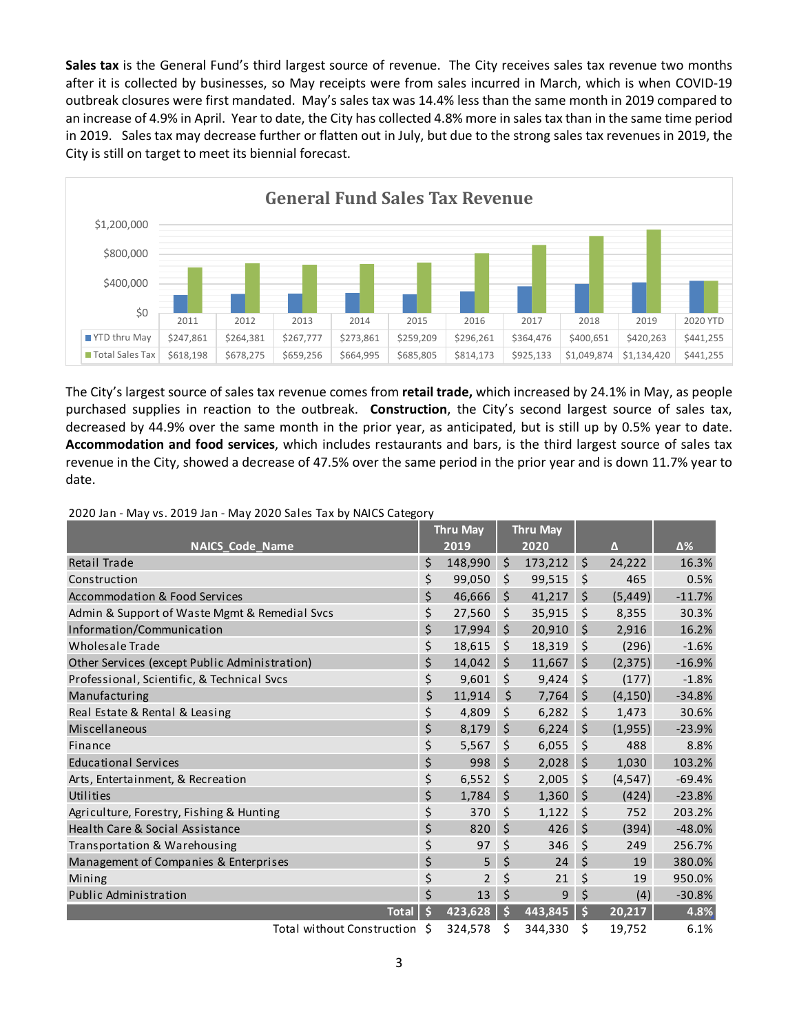**Sales tax** is the General Fund's third largest source of revenue. The City receives sales tax revenue two months after it is collected by businesses, so May receipts were from sales incurred in March, which is when COVID-19 outbreak closures were first mandated. May's sales tax was 14.4% less than the same month in 2019 compared to an increase of 4.9% in April. Year to date, the City has collected 4.8% more in sales tax than in the same time period in 2019. Sales tax may decrease further or flatten out in July, but due to the strong sales tax revenues in 2019, the City is still on target to meet its biennial forecast.



The City's largest source of sales tax revenue comes from **retail trade,** which increased by 24.1% in May, as people purchased supplies in reaction to the outbreak. **Construction**, the City's second largest source of sales tax, decreased by 44.9% over the same month in the prior year, as anticipated, but is still up by 0.5% year to date. **Accommodation and food services**, which includes restaurants and bars, is the third largest source of sales tax revenue in the City, showed a decrease of 47.5% over the same period in the prior year and is down 11.7% year to date.

|                                               | <b>Thru May</b> |                | <b>Thru May</b> |                   |         |                                 |             |
|-----------------------------------------------|-----------------|----------------|-----------------|-------------------|---------|---------------------------------|-------------|
| <b>NAICS Code Name</b>                        |                 | 2019           |                 | $\overline{2020}$ |         | Δ                               | $\Delta\%$  |
| Retail Trade                                  | \$              | 148,990        | $\zeta$         | $173,212$ \$      |         | 24,222                          | 16.3%       |
| Construction                                  | \$              | 99,050         | \$              | 99.515            | Ŝ.      | 465                             | 0.5%        |
| <b>Accommodation &amp; Food Services</b>      | \$              | 46,666         | \$              | 41,217            | \$      | (5, 449)                        | $-11.7%$    |
| Admin & Support of Waste Mgmt & Remedial Svcs | \$              | 27,560         | \$              | 35,915            | $\zeta$ | 8,355                           | 30.3%       |
| Information/Communication                     | \$              | 17,994         | $\zeta$         | 20,910            | \$      | 2,916                           | 16.2%       |
| Wholesale Trade                               | \$              | 18,615         | \$              | 18,319            | \$      | (296)                           | $-1.6%$     |
| Other Services (except Public Administration) | \$              | 14,042         | \$              | 11,667            | \$      | (2, 375)                        | $-16.9%$    |
| Professional, Scientific, & Technical Svcs    | \$              | 9,601          | \$              | 9,424             | \$      | (177)                           | $-1.8%$     |
| Manufacturing                                 | \$              | 11,914         | \$              | 7,764             | \$      | (4, 150)                        | $-34.8%$    |
| Real Estate & Rental & Leasing                | \$              | 4,809          | \$              | 6,282             | \$      | 1,473                           | 30.6%       |
| Miscellaneous                                 | \$              | 8,179          | $\zeta$         | 6,224             | $\zeta$ | (1,955)                         | $-23.9%$    |
| Finance                                       | \$              | 5,567          | \$              | 6,055             | $\zeta$ | 488                             | 8.8%        |
| <b>Educational Services</b>                   | \$              | 998            | \$              | 2,028             | \$      | 1,030                           | 103.2%      |
| Arts, Entertainment, & Recreation             | \$              | 6,552          | \$              | 2,005             | $\zeta$ | (4, 547)                        | $-69.4%$    |
| Utilities                                     | \$              | 1,784          | $\zeta$         | 1,360             | $\zeta$ | (424)                           | $-23.8%$    |
| Agriculture, Forestry, Fishing & Hunting      | \$              | 370            | Ś.              | 1,122             | \$      | 752                             | 203.2%      |
| Health Care & Social Assistance               | \$              | 820            | Ś.              | 426               | \$      | (394)                           | $-48.0%$    |
| Transportation & Warehousing                  | \$              | 97             | \$              | 346               | \$      | 249                             | 256.7%      |
| Management of Companies & Enterprises         | \$              | 5              | Ś.              | 24                | \$      | 19                              | 380.0%      |
| Mining                                        | \$              | $\overline{2}$ | \$              | 21                | \$      | 19                              | 950.0%      |
| Public Administration                         | Ś               | 13             | Ś.              | 9                 | \$      | (4)                             | $-30.8%$    |
| <b>Total</b>                                  | \$              | 423,628        |                 | 443,845           | \$      | 20,217                          | 4.8%        |
| $-1$ $-1$ $-1$                                |                 | 22.57          |                 | 0.1100            |         | $\overline{10}$ $\overline{20}$ | $\sim$ 4.01 |

2020 Jan - May vs. 2019 Jan - May 2020 Sales Tax by NAICS Category

Total without Construction \$ 324,578 \$ 344,330 \$ 19,752 6.1%

3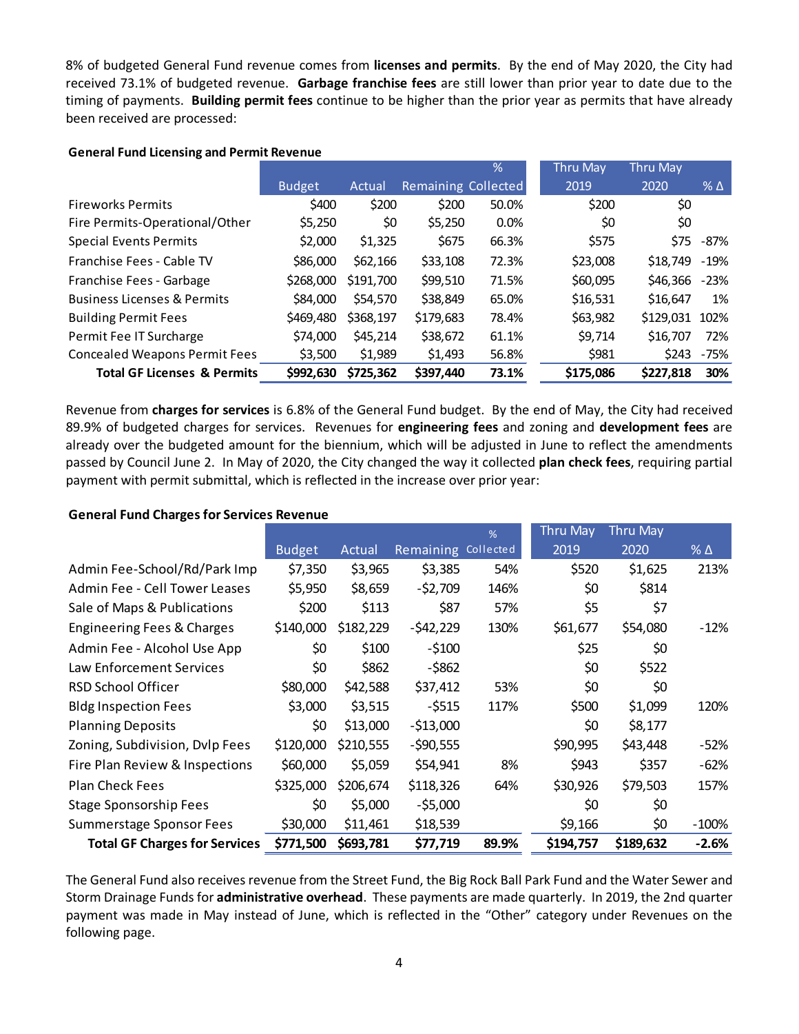8% of budgeted General Fund revenue comes from **licenses and permits**. By the end of May 2020, the City had received 73.1% of budgeted revenue. **Garbage franchise fees** are still lower than prior year to date due to the timing of payments. **Building permit fees** continue to be higher than the prior year as permits that have already been received are processed:

|                                        |               |           |                     | %     | <b>Thru May</b> | <b>Thru May</b> |              |
|----------------------------------------|---------------|-----------|---------------------|-------|-----------------|-----------------|--------------|
|                                        | <b>Budget</b> | Actual    | Remaining Collected |       | 2019            | 2020            | $%$ $\Delta$ |
| <b>Fireworks Permits</b>               | \$400         | \$200     | \$200               | 50.0% | \$200           | \$0             |              |
| Fire Permits-Operational/Other         | \$5,250       | \$0       | \$5,250             | 0.0%  | \$0             | \$0             |              |
| <b>Special Events Permits</b>          | \$2,000       | \$1,325   | \$675               | 66.3% | \$575           | \$75            | -87%         |
| Franchise Fees - Cable TV              | \$86,000      | \$62,166  | \$33,108            | 72.3% | \$23,008        | \$18,749 -19%   |              |
| Franchise Fees - Garbage               | \$268,000     | \$191,700 | \$99,510            | 71.5% | \$60,095        | \$46,366        | -23%         |
| <b>Business Licenses &amp; Permits</b> | \$84,000      | \$54,570  | \$38,849            | 65.0% | \$16,531        | \$16,647        | 1%           |
| <b>Building Permit Fees</b>            | \$469,480     | \$368,197 | \$179,683           | 78.4% | \$63,982        | \$129,031       | 102%         |
| Permit Fee IT Surcharge                | \$74,000      | \$45,214  | \$38,672            | 61.1% | \$9,714         | \$16,707        | 72%          |
| <b>Concealed Weapons Permit Fees</b>   | \$3.500       | \$1,989   | \$1,493             | 56.8% | \$981           | \$243           | -75%         |
| <b>Total GF Licenses &amp; Permits</b> | \$992,630     | \$725,362 | \$397,440           | 73.1% | \$175,086       | \$227,818       | 30%          |

Revenue from **charges for services** is 6.8% of the General Fund budget. By the end of May, the City had received 89.9% of budgeted charges for services. Revenues for **engineering fees** and zoning and **development fees** are already over the budgeted amount for the biennium, which will be adjusted in June to reflect the amendments passed by Council June 2. In May of 2020, the City changed the way it collected **plan check fees**, requiring partial payment with permit submittal, which is reflected in the increase over prior year:

#### **General Fund Charges for Services Revenue**

|                                      |               |           |            | %         | <b>Thru May</b> | <b>Thru May</b> |         |
|--------------------------------------|---------------|-----------|------------|-----------|-----------------|-----------------|---------|
|                                      | <b>Budget</b> | Actual    | Remaining  | Collected | 2019            | 2020            | % Δ     |
| Admin Fee-School/Rd/Park Imp         | \$7,350       | \$3,965   | \$3,385    | 54%       | \$520           | \$1,625         | 213%    |
| Admin Fee - Cell Tower Leases        | \$5,950       | \$8,659   | $-52,709$  | 146%      | \$0             | \$814           |         |
| Sale of Maps & Publications          | \$200         | \$113     | \$87       | 57%       | \$5             | \$7             |         |
| Engineering Fees & Charges           | \$140,000     | \$182,229 | $-542,229$ | 130%      | \$61,677        | \$54,080        | $-12%$  |
| Admin Fee - Alcohol Use App          | \$0           | \$100     | $-5100$    |           | \$25            | \$0             |         |
| Law Enforcement Services             | \$0           | \$862     | $-5862$    |           | \$0             | \$522           |         |
| RSD School Officer                   | \$80,000      | \$42,588  | \$37,412   | 53%       | \$0             | \$0             |         |
| <b>Bldg Inspection Fees</b>          | \$3,000       | \$3,515   | $-5515$    | 117%      | \$500           | \$1,099         | 120%    |
| <b>Planning Deposits</b>             | \$0           | \$13,000  | $-513,000$ |           | \$0             | \$8,177         |         |
| Zoning, Subdivision, Dvlp Fees       | \$120,000     | \$210,555 | $-590,555$ |           | \$90,995        | \$43,448        | $-52%$  |
| Fire Plan Review & Inspections       | \$60,000      | \$5,059   | \$54,941   | 8%        | \$943           | \$357           | -62%    |
| <b>Plan Check Fees</b>               | \$325,000     | \$206,674 | \$118,326  | 64%       | \$30,926        | \$79,503        | 157%    |
| <b>Stage Sponsorship Fees</b>        | \$0           | \$5,000   | $-55,000$  |           | \$0             | \$0             |         |
| Summerstage Sponsor Fees             | \$30,000      | \$11,461  | \$18,539   |           | \$9,166         | \$0             | $-100%$ |
| <b>Total GF Charges for Services</b> | \$771,500     | \$693,781 | \$77,719   | 89.9%     | \$194,757       | \$189,632       | $-2.6%$ |

The General Fund also receives revenue from the Street Fund, the Big Rock Ball Park Fund and the Water Sewer and Storm Drainage Funds for **administrative overhead**. These payments are made quarterly. In 2019, the 2nd quarter payment was made in May instead of June, which is reflected in the "Other" category under Revenues on the following page.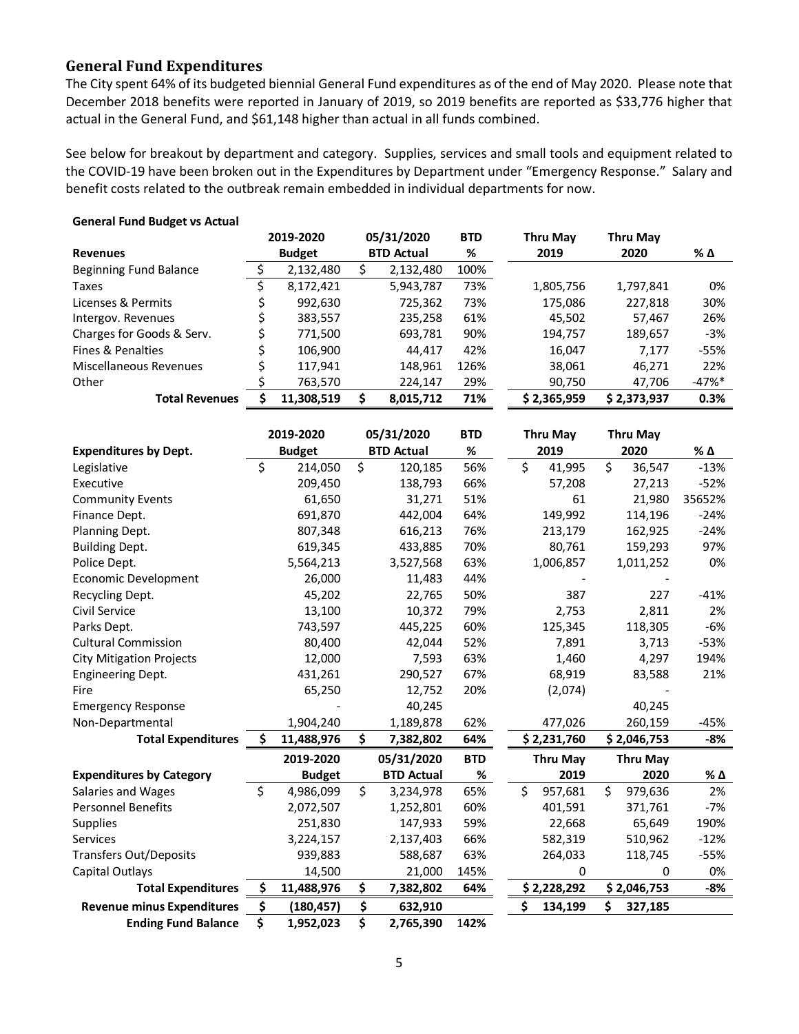### **General Fund Expenditures**

The City spent 64% of its budgeted biennial General Fund expenditures as of the end of May 2020. Please note that December 2018 benefits were reported in January of 2019, so 2019 benefits are reported as \$33,776 higher that actual in the General Fund, and \$61,148 higher than actual in all funds combined.

See below for breakout by department and category. Supplies, services and small tools and equipment related to the COVID-19 have been broken out in the Expenditures by Department under "Emergency Response." Salary and benefit costs related to the outbreak remain embedded in individual departments for now.

|                           |               | 2019-2020  |                   | 05/31/2020 | <b>BTD</b> | <b>Thru May</b> | Thru May    |          |
|---------------------------|---------------|------------|-------------------|------------|------------|-----------------|-------------|----------|
| <b>Revenues</b>           | <b>Budget</b> |            | <b>BTD Actual</b> |            | %          | 2019            | 2020        | % Δ      |
| Beginning Fund Balance    |               | 2,132,480  |                   | 2,132,480  | 100%       |                 |             |          |
| Taxes                     |               | 8,172,421  |                   | 5,943,787  | 73%        | 1,805,756       | 1,797,841   | 0%       |
| Licenses & Permits        |               | 992,630    |                   | 725,362    | 73%        | 175,086         | 227,818     | 30%      |
| Intergov. Revenues        |               | 383,557    |                   | 235,258    | 61%        | 45,502          | 57.467      | 26%      |
| Charges for Goods & Serv. |               | 771,500    |                   | 693,781    | 90%        | 194,757         | 189,657     | -3%      |
| Fines & Penalties         |               | 106,900    |                   | 44.417     | 42%        | 16,047          | 7.177       | -55%     |
| Miscellaneous Revenues    |               | 117,941    |                   | 148,961    | 126%       | 38,061          | 46,271      | 22%      |
| Other                     |               | 763,570    |                   | 224,147    | 29%        | 90,750          | 47,706      | $-47%$ * |
| <b>Total Revenues</b>     |               | 11.308.519 |                   | 8,015,712  | 71%        | \$2,365,959     | \$2,373,937 | 0.3%     |

#### **General Fund Budget vs Actual**

| <b>Expenditures by Dept.</b>      | 2019-2020<br><b>Budget</b> |               | 05/31/2020<br><b>BTD Actual</b> | <b>BTD</b><br>% |    | Thru May<br>2019 | <b>Thru May</b><br>2020 |                 | % Δ    |
|-----------------------------------|----------------------------|---------------|---------------------------------|-----------------|----|------------------|-------------------------|-----------------|--------|
| Legislative                       | \$                         | 214,050       | \$<br>120,185                   | 56%             | \$ | 41,995           | \$                      | 36,547          | $-13%$ |
| Executive                         |                            | 209,450       | 138,793                         | 66%             |    | 57,208           |                         | 27,213          | $-52%$ |
| <b>Community Events</b>           |                            | 61,650        | 31,271                          | 51%             |    | 61               |                         | 21,980          | 35652% |
| Finance Dept.                     |                            | 691,870       | 442,004                         | 64%             |    | 149,992          |                         | 114,196         | $-24%$ |
| Planning Dept.                    |                            | 807,348       | 616,213                         | 76%             |    | 213,179          |                         | 162,925         | $-24%$ |
| <b>Building Dept.</b>             |                            | 619,345       | 433,885                         | 70%             |    | 80,761           |                         | 159,293         | 97%    |
| Police Dept.                      |                            | 5,564,213     | 3,527,568                       | 63%             |    | 1,006,857        |                         | 1,011,252       | 0%     |
| <b>Economic Development</b>       |                            | 26,000        | 11,483                          | 44%             |    |                  |                         |                 |        |
| Recycling Dept.                   |                            | 45,202        | 22,765                          | 50%             |    | 387              |                         | 227             | $-41%$ |
| Civil Service                     |                            | 13,100        | 10,372                          | 79%             |    | 2,753            |                         | 2,811           | 2%     |
| Parks Dept.                       |                            | 743,597       | 445,225                         | 60%             |    | 125,345          |                         | 118,305         | $-6%$  |
| <b>Cultural Commission</b>        |                            | 80,400        | 42,044                          | 52%             |    | 7,891            |                         | 3,713           | $-53%$ |
| <b>City Mitigation Projects</b>   |                            | 12,000        | 7,593                           | 63%             |    | 1,460            |                         | 4,297           | 194%   |
| <b>Engineering Dept.</b>          |                            | 431,261       | 290,527                         | 67%             |    | 68,919           |                         | 83,588          | 21%    |
| Fire                              |                            | 65,250        | 12,752                          | 20%             |    | (2,074)          |                         |                 |        |
| <b>Emergency Response</b>         |                            |               | 40,245                          |                 |    |                  |                         | 40,245          |        |
| Non-Departmental                  |                            | 1,904,240     | 1,189,878                       | 62%             |    | 477,026          |                         | 260,159         | $-45%$ |
| <b>Total Expenditures</b>         | \$                         | 11,488,976    | \$<br>7,382,802                 | 64%             |    | \$2,231,760      |                         | \$2,046,753     | -8%    |
|                                   |                            | 2019-2020     | 05/31/2020                      | <b>BTD</b>      |    | <b>Thru May</b>  |                         | <b>Thru May</b> |        |
| <b>Expenditures by Category</b>   |                            | <b>Budget</b> | <b>BTD Actual</b>               | %               |    | 2019             |                         | 2020            | % Δ    |
| Salaries and Wages                | \$                         | 4,986,099     | \$<br>3,234,978                 | 65%             | \$ | 957,681          | \$                      | 979,636         | 2%     |
| <b>Personnel Benefits</b>         |                            | 2,072,507     | 1,252,801                       | 60%             |    | 401,591          |                         | 371,761         | $-7%$  |
| Supplies                          |                            | 251,830       | 147,933                         | 59%             |    | 22,668           |                         | 65,649          | 190%   |
| Services                          |                            | 3,224,157     | 2,137,403                       | 66%             |    | 582,319          |                         | 510,962         | $-12%$ |
| <b>Transfers Out/Deposits</b>     |                            | 939,883       | 588,687                         | 63%             |    | 264,033          |                         | 118,745         | $-55%$ |
| Capital Outlays                   |                            | 14,500        | 21,000                          | 145%            |    | 0                |                         | 0               | 0%     |
| <b>Total Expenditures</b>         | \$.                        | 11,488,976    | \$<br>7,382,802                 | 64%             |    | \$2,228,292      |                         | \$2,046,753     | $-8%$  |
| <b>Revenue minus Expenditures</b> | \$                         | (180, 457)    | \$<br>632,910                   |                 | Ś  | 134,199          | \$                      | 327,185         |        |
| <b>Ending Fund Balance</b>        | \$                         | 1,952,023     | \$<br>2,765,390                 | 142%            |    |                  |                         |                 |        |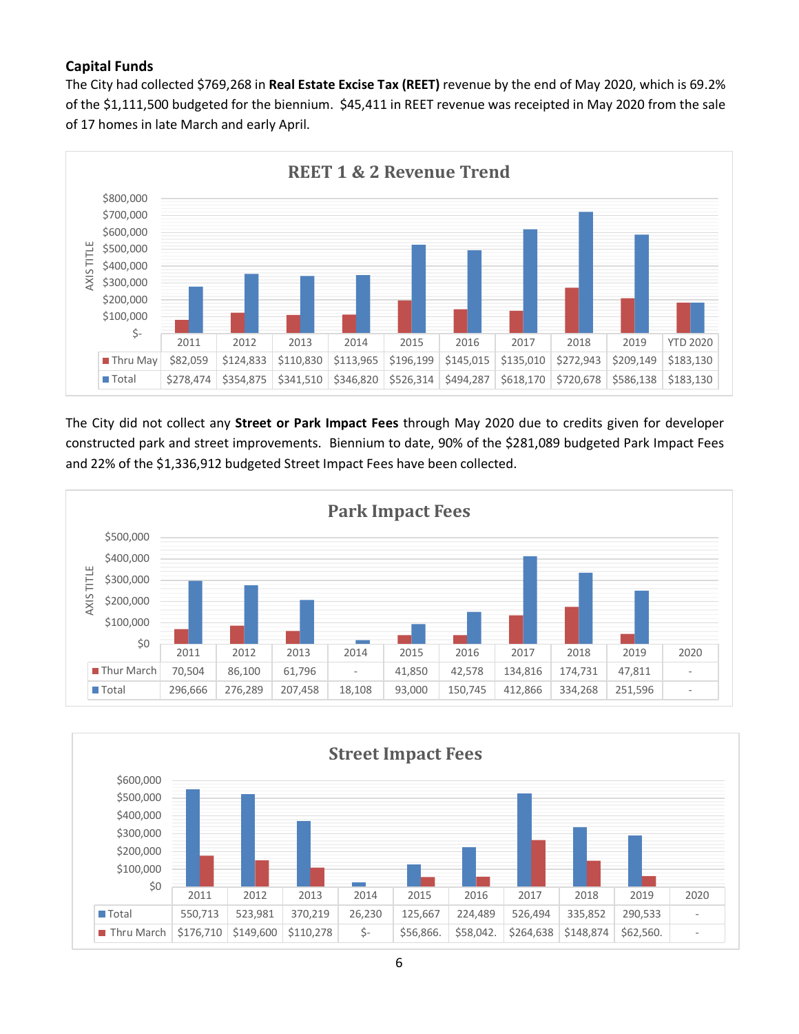## **Capital Funds**

The City had collected \$769,268 in **Real Estate Excise Tax (REET)** revenue by the end of May 2020, which is 69.2% of the \$1,111,500 budgeted for the biennium. \$45,411 in REET revenue was receipted in May 2020 from the sale of 17 homes in late March and early April.



The City did not collect any **Street or Park Impact Fees** through May 2020 due to credits given for developer constructed park and street improvements. Biennium to date, 90% of the \$281,089 budgeted Park Impact Fees and 22% of the \$1,336,912 budgeted Street Impact Fees have been collected.



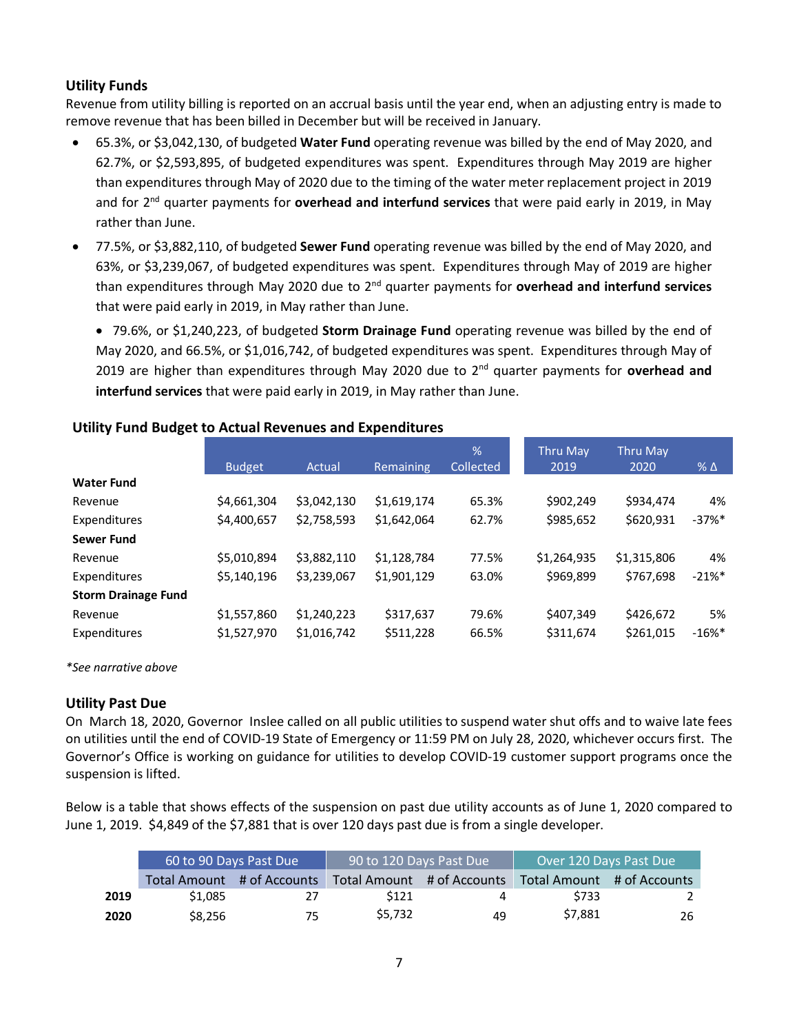## **Utility Funds**

Revenue from utility billing is reported on an accrual basis until the year end, when an adjusting entry is made to remove revenue that has been billed in December but will be received in January.

- 65.3%, or \$3,042,130, of budgeted **Water Fund** operating revenue was billed by the end of May 2020, and 62.7%, or \$2,593,895, of budgeted expenditures was spent. Expenditures through May 2019 are higher than expenditures through May of 2020 due to the timing of the water meter replacement project in 2019 and for 2nd quarter payments for **overhead and interfund services** that were paid early in 2019, in May rather than June.
- 77.5%, or \$3,882,110, of budgeted **Sewer Fund** operating revenue was billed by the end of May 2020, and 63%, or \$3,239,067, of budgeted expenditures was spent. Expenditures through May of 2019 are higher than expenditures through May 2020 due to 2nd quarter payments for **overhead and interfund services** that were paid early in 2019, in May rather than June.

• 79.6%, or \$1,240,223, of budgeted **Storm Drainage Fund** operating revenue was billed by the end of May 2020, and 66.5%, or \$1,016,742, of budgeted expenditures was spent. Expenditures through May of 2019 are higher than expenditures through May 2020 due to 2nd quarter payments for **overhead and interfund services** that were paid early in 2019, in May rather than June.

|                            |               |             |             | $\frac{9}{6}$ | <b>Thru May</b> | <b>Thru May</b> |                      |
|----------------------------|---------------|-------------|-------------|---------------|-----------------|-----------------|----------------------|
|                            | <b>Budget</b> | Actual      | Remaining   | Collected     | 2019            | 2020            | $%$ $\Delta$         |
| <b>Water Fund</b>          |               |             |             |               |                 |                 |                      |
| Revenue                    | \$4,661,304   | \$3,042,130 | \$1,619,174 | 65.3%         | \$902,249       | \$934,474       | 4%                   |
| Expenditures               | \$4,400,657   | \$2,758,593 | \$1,642,064 | 62.7%         | \$985,652       | \$620,931       | $-37\%$ <sup>*</sup> |
| <b>Sewer Fund</b>          |               |             |             |               |                 |                 |                      |
| Revenue                    | \$5,010,894   | \$3,882,110 | \$1,128,784 | 77.5%         | \$1,264,935     | \$1,315,806     | 4%                   |
| Expenditures               | \$5,140,196   | \$3,239,067 | \$1,901,129 | 63.0%         | \$969,899       | \$767,698       | $-21%$ *             |
| <b>Storm Drainage Fund</b> |               |             |             |               |                 |                 |                      |
| Revenue                    | \$1,557,860   | \$1,240,223 | \$317,637   | 79.6%         | \$407,349       | \$426,672       | 5%                   |
| Expenditures               | \$1,527,970   | \$1,016,742 | \$511,228   | 66.5%         | \$311,674       | \$261,015       | $-16%$ *             |

#### **Utility Fund Budget to Actual Revenues and Expenditures**

*\*See narrative above*

### **Utility Past Due**

On March 18, 2020, Governor Inslee called on all public utilities to suspend water shut offs and to waive late fees on utilities until the end of COVID-19 State of Emergency or 11:59 PM on July 28, 2020, whichever occurs first. The Governor's Office is working on guidance for utilities to develop COVID-19 customer support programs once the suspension is lifted.

Below is a table that shows effects of the suspension on past due utility accounts as of June 1, 2020 compared to June 1, 2019. \$4,849 of the \$7,881 that is over 120 days past due is from a single developer.

|      | 60 to 90 Days Past Due |                            | 90 to 120 Days Past Due |                            | Over 120 Days Past Due     |    |  |
|------|------------------------|----------------------------|-------------------------|----------------------------|----------------------------|----|--|
|      |                        | Total Amount # of Accounts |                         | Total Amount # of Accounts | Total Amount # of Accounts |    |  |
| 2019 | \$1.085                | 27                         | \$121                   | Δ                          | \$733                      |    |  |
| 2020 | \$8.256                | 75                         | \$5.732                 | 49                         | \$7,881                    | 26 |  |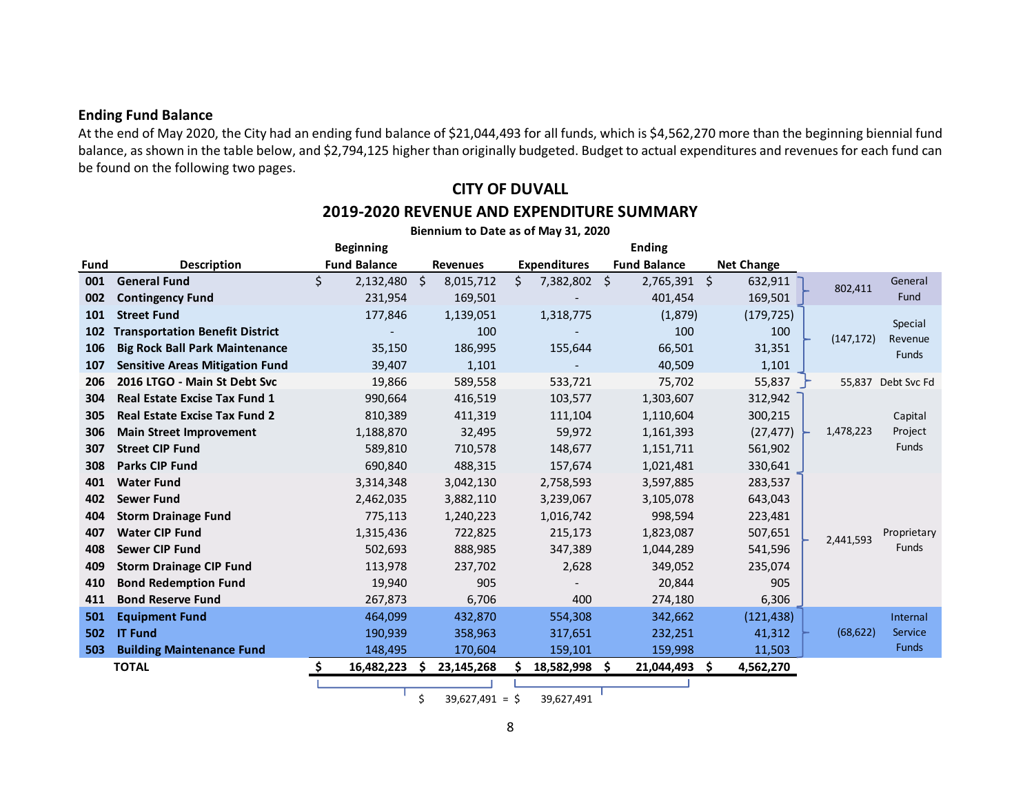#### **Ending Fund Balance**

At the end of May 2020, the City had an ending fund balance of \$21,044,493 for all funds, which is \$4,562,270 more than the beginning biennial fund balance, as shown in the table below, and \$2,794,125 higher than originally budgeted. Budget to actual expenditures and revenues for each fund can be found on the following two pages.

# **CITY OF DUVALL 2019-2020 REVENUE AND EXPENDITURE SUMMARY Biennium to Date as of May 31, 2020**

|      |                                        | <b>Beginning</b>             |                 |                     | <b>Ending</b>       |                   |                             |  |
|------|----------------------------------------|------------------------------|-----------------|---------------------|---------------------|-------------------|-----------------------------|--|
| Fund | <b>Description</b>                     | <b>Fund Balance</b>          | <b>Revenues</b> | <b>Expenditures</b> | <b>Fund Balance</b> | <b>Net Change</b> |                             |  |
| 001  | <b>General Fund</b>                    | Ś<br>$2,132,480$ \$          | 8,015,712       | \$<br>7,382,802 \$  | $2,765,391$ \$      | 632,911           | General<br>802,411          |  |
| 002  | <b>Contingency Fund</b>                | 231,954                      | 169,501         |                     | 401,454             | 169,501           | Fund                        |  |
| 101  | <b>Street Fund</b>                     | 177,846                      | 1,139,051       | 1,318,775           | (1,879)             | (179, 725)        | Special                     |  |
| 102  | <b>Transportation Benefit District</b> |                              | 100             |                     | 100                 | 100               | (147, 172)<br>Revenue       |  |
| 106  | <b>Big Rock Ball Park Maintenance</b>  | 35,150                       | 186,995         | 155,644             | 66,501              | 31,351            | <b>Funds</b>                |  |
| 107  | <b>Sensitive Areas Mitigation Fund</b> | 39,407                       | 1,101           |                     | 40,509              | 1,101             |                             |  |
| 206  | 2016 LTGO - Main St Debt Svc           | 19,866                       | 589,558         | 533,721             | 75,702              | 55,837            | 55,837<br>Debt Svc Fd       |  |
| 304  | <b>Real Estate Excise Tax Fund 1</b>   | 990,664                      | 416,519         | 103,577             | 1,303,607           | 312,942           |                             |  |
| 305  | <b>Real Estate Excise Tax Fund 2</b>   | 810,389                      | 411,319         | 111,104             | 1,110,604           | 300,215           | Capital                     |  |
| 306  | <b>Main Street Improvement</b>         | 1,188,870                    | 32,495          | 59,972              | 1,161,393           | (27, 477)         | 1,478,223<br>Project        |  |
| 307  | <b>Street CIP Fund</b>                 | 589,810                      | 710,578         | 148,677             | 1,151,711           | 561,902           | <b>Funds</b>                |  |
| 308  | <b>Parks CIP Fund</b>                  | 690,840                      | 488,315         | 157,674             | 1,021,481           | 330,641           |                             |  |
| 401  | <b>Water Fund</b>                      | 3,314,348                    | 3,042,130       | 2,758,593           | 3,597,885           | 283,537           |                             |  |
| 402  | <b>Sewer Fund</b>                      | 2,462,035                    | 3,882,110       | 3,239,067           | 3,105,078           | 643,043           |                             |  |
| 404  | <b>Storm Drainage Fund</b>             | 775,113                      | 1,240,223       | 1,016,742           | 998,594             | 223,481           |                             |  |
| 407  | <b>Water CIP Fund</b>                  | 1,315,436                    | 722,825         | 215,173             | 1,823,087           | 507,651           | Proprietary<br>2,441,593    |  |
| 408  | <b>Sewer CIP Fund</b>                  | 502,693                      | 888,985         | 347,389             | 1,044,289           | 541,596           | <b>Funds</b>                |  |
| 409  | <b>Storm Drainage CIP Fund</b>         | 113,978                      | 237,702         | 2,628               | 349,052             | 235,074           |                             |  |
| 410  | <b>Bond Redemption Fund</b>            | 19,940                       | 905             |                     | 20,844              | 905               |                             |  |
| 411  | <b>Bond Reserve Fund</b>               | 267,873                      | 6,706           | 400                 | 274,180             | 6,306             |                             |  |
| 501  | <b>Equipment Fund</b>                  | 464,099                      | 432,870         | 554,308             | 342,662             | (121, 438)        | Internal                    |  |
| 502  | <b>IT Fund</b>                         | 190,939                      | 358,963         | 317,651             | 232,251             | 41,312            | <b>Service</b><br>(68, 622) |  |
| 503  | <b>Building Maintenance Fund</b>       | 148,495                      | 170,604         | 159,101             | 159,998             | 11,503            | <b>Funds</b>                |  |
|      | <b>TOTAL</b>                           | Ŝ.<br>16,482,223<br><b>S</b> | 23,145,268      | 18,582,998 \$<br>s  | 21,044,493          | 4,562,270<br>- Ś  |                             |  |
|      |                                        | $\overline{a}$               | 20.027.01       | 20.027.04           |                     |                   |                             |  |

 $$39,627,491 = $39,627,491$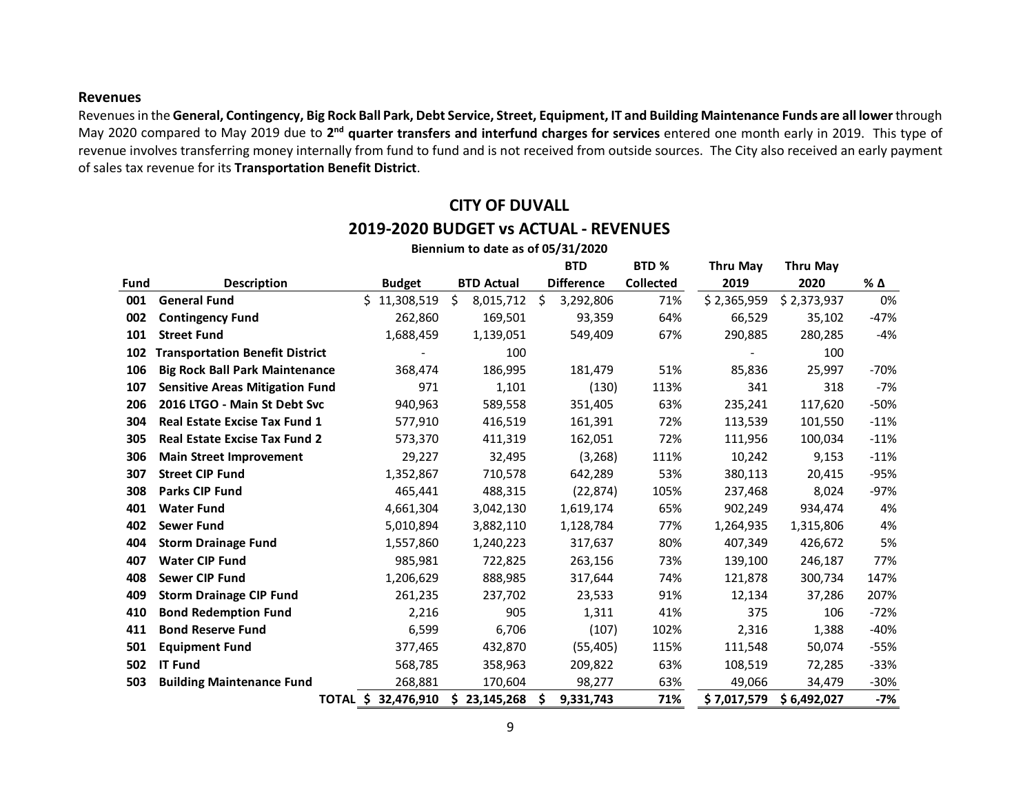#### **Revenues**

Revenues in the **General, Contingency, Big Rock Ball Park, Debt Service, Street, Equipment, IT and Building Maintenance Funds are all lower**through May 2020 compared to May 2019 due to **2nd quarter transfers and interfund charges for services** entered one month early in 2019. This type of revenue involves transferring money internally from fund to fund and is not received from outside sources. The City also received an early payment of sales tax revenue for its **Transportation Benefit District**.

# **CITY OF DUVALL 2019-2020 BUDGET vs ACTUAL - REVENUES**

|      | Biennium to date as of 05/31/2020      |                                  |    |                   |    |                   |                  |             |             |        |  |  |
|------|----------------------------------------|----------------------------------|----|-------------------|----|-------------------|------------------|-------------|-------------|--------|--|--|
|      |                                        |                                  |    |                   |    | <b>BTD</b>        | BTD%             | Thru May    | Thru May    |        |  |  |
| Fund | <b>Description</b>                     | <b>Budget</b>                    |    | <b>BTD Actual</b> |    | <b>Difference</b> | <b>Collected</b> | 2019        | 2020        | % Δ    |  |  |
| 001  | <b>General Fund</b>                    | \$11,308,519                     | \$ | 8,015,712         | Š. | 3,292,806         | 71%              | \$2,365,959 | \$2,373,937 | 0%     |  |  |
| 002  | <b>Contingency Fund</b>                | 262,860                          |    | 169,501           |    | 93,359            | 64%              | 66,529      | 35,102      | $-47%$ |  |  |
| 101  | <b>Street Fund</b>                     | 1,688,459                        |    | 1,139,051         |    | 549,409           | 67%              | 290,885     | 280,285     | -4%    |  |  |
| 102  | <b>Transportation Benefit District</b> |                                  |    | 100               |    |                   |                  |             | 100         |        |  |  |
| 106  | <b>Big Rock Ball Park Maintenance</b>  | 368,474                          |    | 186,995           |    | 181,479           | 51%              | 85,836      | 25,997      | -70%   |  |  |
| 107  | <b>Sensitive Areas Mitigation Fund</b> | 971                              |    | 1,101             |    | (130)             | 113%             | 341         | 318         | $-7%$  |  |  |
| 206  | 2016 LTGO - Main St Debt Svc           | 940,963                          |    | 589,558           |    | 351,405           | 63%              | 235,241     | 117,620     | $-50%$ |  |  |
| 304  | Real Estate Excise Tax Fund 1          | 577,910                          |    | 416,519           |    | 161,391           | 72%              | 113,539     | 101,550     | $-11%$ |  |  |
| 305  | <b>Real Estate Excise Tax Fund 2</b>   | 573,370                          |    | 411,319           |    | 162,051           | 72%              | 111,956     | 100,034     | $-11%$ |  |  |
| 306  | <b>Main Street Improvement</b>         | 29,227                           |    | 32,495            |    | (3, 268)          | 111%             | 10,242      | 9,153       | $-11%$ |  |  |
| 307  | <b>Street CIP Fund</b>                 | 1,352,867                        |    | 710,578           |    | 642,289           | 53%              | 380,113     | 20,415      | $-95%$ |  |  |
| 308  | Parks CIP Fund                         | 465,441                          |    | 488,315           |    | (22, 874)         | 105%             | 237,468     | 8,024       | $-97%$ |  |  |
| 401  | <b>Water Fund</b>                      | 4,661,304                        |    | 3,042,130         |    | 1,619,174         | 65%              | 902,249     | 934,474     | 4%     |  |  |
| 402  | <b>Sewer Fund</b>                      | 5,010,894                        |    | 3,882,110         |    | 1,128,784         | 77%              | 1,264,935   | 1,315,806   | 4%     |  |  |
| 404  | <b>Storm Drainage Fund</b>             | 1,557,860                        |    | 1,240,223         |    | 317,637           | 80%              | 407,349     | 426,672     | 5%     |  |  |
| 407  | <b>Water CIP Fund</b>                  | 985,981                          |    | 722,825           |    | 263,156           | 73%              | 139,100     | 246,187     | 77%    |  |  |
| 408  | <b>Sewer CIP Fund</b>                  | 1,206,629                        |    | 888,985           |    | 317,644           | 74%              | 121,878     | 300,734     | 147%   |  |  |
| 409  | <b>Storm Drainage CIP Fund</b>         | 261,235                          |    | 237,702           |    | 23,533            | 91%              | 12,134      | 37,286      | 207%   |  |  |
| 410  | <b>Bond Redemption Fund</b>            | 2,216                            |    | 905               |    | 1,311             | 41%              | 375         | 106         | $-72%$ |  |  |
| 411  | <b>Bond Reserve Fund</b>               | 6,599                            |    | 6,706             |    | (107)             | 102%             | 2,316       | 1,388       | $-40%$ |  |  |
| 501  | <b>Equipment Fund</b>                  | 377,465                          |    | 432,870           |    | (55, 405)         | 115%             | 111,548     | 50,074      | $-55%$ |  |  |
| 502  | <b>IT Fund</b>                         | 568,785                          |    | 358,963           |    | 209,822           | 63%              | 108,519     | 72,285      | $-33%$ |  |  |
| 503  | <b>Building Maintenance Fund</b>       | 268,881                          |    | 170,604           |    | 98,277            | 63%              | 49,066      | 34,479      | $-30%$ |  |  |
|      |                                        | 32,476,910<br><b>TOTAL</b><br>S. | \$ | 23,145,268        | S  | 9,331,743         | 71%              | \$7,017,579 | \$6,492,027 | -7%    |  |  |